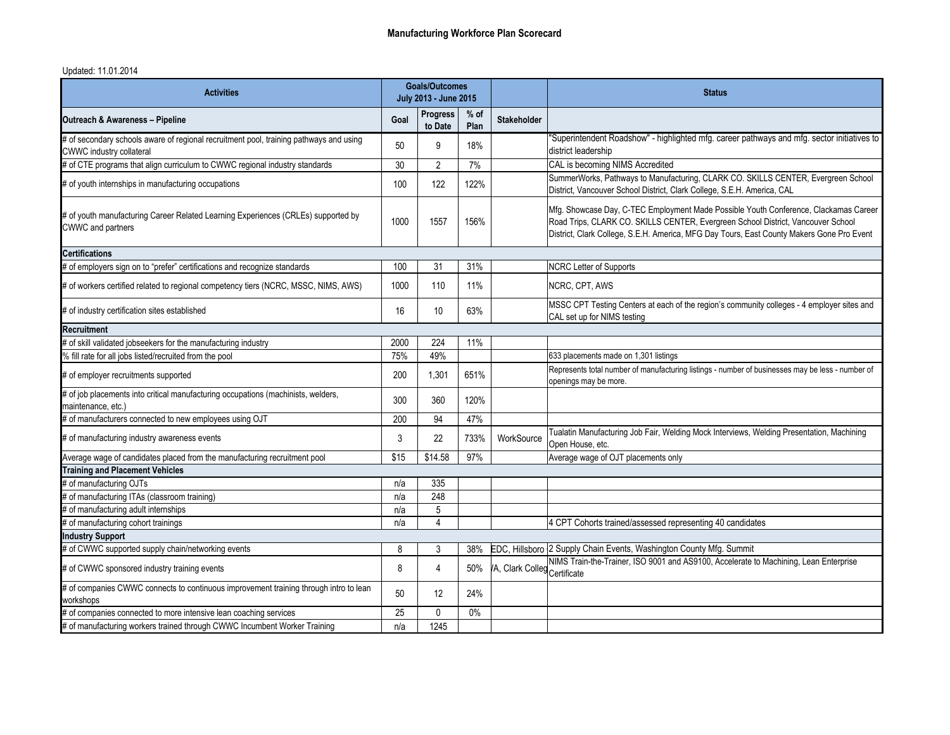## Updated: 11.01.2014

| <b>Activities</b>                                                                                                         | <b>Goals/Outcomes</b><br>July 2013 - June 2015 |                            |                | <b>Status</b>               |                                                                                                                                                                                                                                                                       |  |  |  |
|---------------------------------------------------------------------------------------------------------------------------|------------------------------------------------|----------------------------|----------------|-----------------------------|-----------------------------------------------------------------------------------------------------------------------------------------------------------------------------------------------------------------------------------------------------------------------|--|--|--|
| <b>Outreach &amp; Awareness - Pipeline</b>                                                                                | Goal                                           | <b>Progress</b><br>to Date | $%$ of<br>Plan | <b>Stakeholder</b>          |                                                                                                                                                                                                                                                                       |  |  |  |
| # of secondary schools aware of regional recruitment pool, training pathways and using<br><b>CWWC</b> industry collateral | 50                                             | 9                          | 18%            |                             | "Superintendent Roadshow" - highlighted mfg. career pathways and mfg. sector initiatives to<br>district leadership                                                                                                                                                    |  |  |  |
| # of CTE programs that align curriculum to CWWC regional industry standards                                               | 30                                             | $\overline{2}$             | 7%             |                             | CAL is becoming NIMS Accredited                                                                                                                                                                                                                                       |  |  |  |
| # of youth internships in manufacturing occupations                                                                       | 100                                            | 122                        | 122%           |                             | SummerWorks, Pathways to Manufacturing, CLARK CO. SKILLS CENTER, Evergreen School<br>District, Vancouver School District, Clark College, S.E.H. America, CAL                                                                                                          |  |  |  |
| # of youth manufacturing Career Related Learning Experiences (CRLEs) supported by<br>CWWC and partners                    | 1000                                           | 1557                       | 156%           |                             | Mfg. Showcase Day, C-TEC Employment Made Possible Youth Conference, Clackamas Career<br>Road Trips, CLARK CO. SKILLS CENTER, Evergreen School District, Vancouver School<br>District, Clark College, S.E.H. America, MFG Day Tours, East County Makers Gone Pro Event |  |  |  |
| <b>Certifications</b>                                                                                                     |                                                |                            |                |                             |                                                                                                                                                                                                                                                                       |  |  |  |
| # of employers sign on to "prefer" certifications and recognize standards                                                 | 100                                            | 31                         | 31%            |                             | <b>NCRC Letter of Supports</b>                                                                                                                                                                                                                                        |  |  |  |
| # of workers certified related to regional competency tiers (NCRC, MSSC, NIMS, AWS)                                       | 1000                                           | 110                        | 11%            |                             | NCRC, CPT, AWS                                                                                                                                                                                                                                                        |  |  |  |
| # of industry certification sites established                                                                             | 16                                             | 10 <sup>°</sup>            | 63%            |                             | MSSC CPT Testing Centers at each of the region's community colleges - 4 employer sites and<br>CAL set up for NIMS testing                                                                                                                                             |  |  |  |
| <b>Recruitment</b>                                                                                                        |                                                |                            |                |                             |                                                                                                                                                                                                                                                                       |  |  |  |
| # of skill validated jobseekers for the manufacturing industry                                                            | 2000                                           | 224                        | 11%            |                             |                                                                                                                                                                                                                                                                       |  |  |  |
| % fill rate for all jobs listed/recruited from the pool                                                                   | 75%                                            | 49%                        |                |                             | 633 placements made on 1,301 listings                                                                                                                                                                                                                                 |  |  |  |
| # of employer recruitments supported                                                                                      | 200                                            | 1,301                      | 651%           |                             | Represents total number of manufacturing listings - number of businesses may be less - number of<br>openings may be more.                                                                                                                                             |  |  |  |
| # of job placements into critical manufacturing occupations (machinists, welders,<br>maintenance, etc.)                   | 300                                            | 360                        | 120%           |                             |                                                                                                                                                                                                                                                                       |  |  |  |
| # of manufacturers connected to new employees using OJT                                                                   | 200                                            | 94                         | 47%            |                             |                                                                                                                                                                                                                                                                       |  |  |  |
| # of manufacturing industry awareness events                                                                              | 3                                              | 22                         | 733%           | WorkSource                  | Tualatin Manufacturing Job Fair, Welding Mock Interviews, Welding Presentation, Machining<br>Open House, etc.                                                                                                                                                         |  |  |  |
| Average wage of candidates placed from the manufacturing recruitment pool                                                 | \$15                                           | \$14.58                    | 97%            |                             | Average wage of OJT placements only                                                                                                                                                                                                                                   |  |  |  |
| <b>Training and Placement Vehicles</b>                                                                                    |                                                |                            |                |                             |                                                                                                                                                                                                                                                                       |  |  |  |
| # of manufacturing OJTs                                                                                                   | n/a                                            | 335                        |                |                             |                                                                                                                                                                                                                                                                       |  |  |  |
| # of manufacturing ITAs (classroom training)                                                                              | n/a                                            | 248                        |                |                             |                                                                                                                                                                                                                                                                       |  |  |  |
| # of manufacturing adult internships                                                                                      | n/a                                            | 5                          |                |                             |                                                                                                                                                                                                                                                                       |  |  |  |
| # of manufacturing cohort trainings                                                                                       | n/a                                            | 4                          |                |                             | 4 CPT Cohorts trained/assessed representing 40 candidates                                                                                                                                                                                                             |  |  |  |
| <b>Industry Support</b>                                                                                                   |                                                |                            |                |                             |                                                                                                                                                                                                                                                                       |  |  |  |
| # of CWWC supported supply chain/networking events                                                                        | 8                                              | $\mathfrak{Z}$             | 38%            |                             | EDC, Hillsboro 2 Supply Chain Events, Washington County Mfg. Summit                                                                                                                                                                                                   |  |  |  |
| # of CWWC sponsored industry training events                                                                              | 8                                              | $\overline{4}$             | 50%            | A, Clark Colleg Certificate | NIMS Train-the-Trainer, ISO 9001 and AS9100, Accelerate to Machining, Lean Enterprise                                                                                                                                                                                 |  |  |  |
| # of companies CWWC connects to continuous improvement training through intro to lean<br>workshops                        | 50                                             | 12 <sup>°</sup>            | 24%            |                             |                                                                                                                                                                                                                                                                       |  |  |  |
| # of companies connected to more intensive lean coaching services                                                         | 25                                             | $\mathbf 0$                | $0\%$          |                             |                                                                                                                                                                                                                                                                       |  |  |  |
| # of manufacturing workers trained through CWWC Incumbent Worker Training                                                 | n/a                                            | 1245                       |                |                             |                                                                                                                                                                                                                                                                       |  |  |  |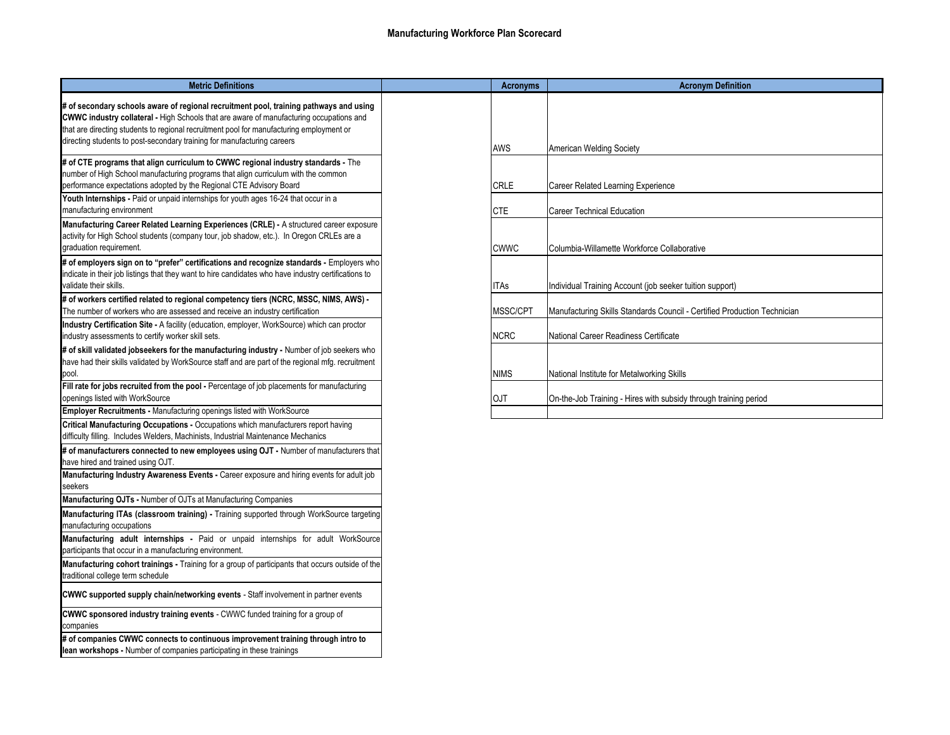## **Manufacturing Workforce Plan Scorecard**

| <b>Metric Definitions</b>                                                                                                                                                                                                                                                                                                                                       | <b>Acronyms</b> | <b>Acronym Definition</b>                                                |
|-----------------------------------------------------------------------------------------------------------------------------------------------------------------------------------------------------------------------------------------------------------------------------------------------------------------------------------------------------------------|-----------------|--------------------------------------------------------------------------|
| # of secondary schools aware of regional recruitment pool, training pathways and using<br><b>CWWC industry collateral - High Schools that are aware of manufacturing occupations and</b><br>that are directing students to regional recruitment pool for manufacturing employment or<br>directing students to post-secondary training for manufacturing careers | AWS             | <b>American Welding Society</b>                                          |
| # of CTE programs that align curriculum to CWWC regional industry standards - The<br>number of High School manufacturing programs that align curriculum with the common<br>performance expectations adopted by the Regional CTE Advisory Board                                                                                                                  | <b>CRLE</b>     | Career Related Learning Experience                                       |
| Youth Internships - Paid or unpaid internships for youth ages 16-24 that occur in a<br>manufacturing environment                                                                                                                                                                                                                                                | <b>CTE</b>      | Career Technical Education                                               |
| Manufacturing Career Related Learning Experiences (CRLE) - A structured career exposure<br>activity for High School students (company tour, job shadow, etc.). In Oregon CRLEs are a<br>graduation requirement.                                                                                                                                                 | <b>CWWC</b>     | Columbia-Willamette Workforce Collaborative                              |
| # of employers sign on to "prefer" certifications and recognize standards - Employers who<br>indicate in their job listings that they want to hire candidates who have industry certifications to<br>validate their skills.                                                                                                                                     | <b>ITAs</b>     | Individual Training Account (job seeker tuition support)                 |
| # of workers certified related to regional competency tiers (NCRC, MSSC, NIMS, AWS) -<br>The number of workers who are assessed and receive an industry certification                                                                                                                                                                                           | MSSC/CPT        | Manufacturing Skills Standards Council - Certified Production Technician |
| Industry Certification Site - A facility (education, employer, WorkSource) which can proctor<br>industry assessments to certify worker skill sets.<br># of skill validated jobseekers for the manufacturing industry - Number of job seekers who                                                                                                                | <b>NCRC</b>     | National Career Readiness Certificate                                    |
| have had their skills validated by WorkSource staff and are part of the regional mfg. recruitment<br>pool.                                                                                                                                                                                                                                                      | <b>NIMS</b>     | National Institute for Metalworking Skills                               |
| Fill rate for jobs recruited from the pool - Percentage of job placements for manufacturing<br>openings listed with WorkSource                                                                                                                                                                                                                                  | <b>OJT</b>      | On-the-Job Training - Hires with subsidy through training period         |
| <b>Employer Recruitments - Manufacturing openings listed with WorkSource</b>                                                                                                                                                                                                                                                                                    |                 |                                                                          |
| Critical Manufacturing Occupations - Occupations which manufacturers report having<br>difficulty filling. Includes Welders, Machinists, Industrial Maintenance Mechanics                                                                                                                                                                                        |                 |                                                                          |
| # of manufacturers connected to new employees using OJT - Number of manufacturers that<br>have hired and trained using OJT.                                                                                                                                                                                                                                     |                 |                                                                          |
| Manufacturing Industry Awareness Events - Career exposure and hiring events for adult job<br>seekers                                                                                                                                                                                                                                                            |                 |                                                                          |
| Manufacturing OJTs - Number of OJTs at Manufacturing Companies                                                                                                                                                                                                                                                                                                  |                 |                                                                          |
| Manufacturing ITAs (classroom training) - Training supported through WorkSource targeting<br>manufacturing occupations                                                                                                                                                                                                                                          |                 |                                                                          |
| Manufacturing adult internships - Paid or unpaid internships for adult WorkSource<br>participants that occur in a manufacturing environment.                                                                                                                                                                                                                    |                 |                                                                          |
| Manufacturing cohort trainings - Training for a group of participants that occurs outside of the<br>traditional college term schedule                                                                                                                                                                                                                           |                 |                                                                          |
| <b>CWWC supported supply chain/networking events</b> - Staff involvement in partner events                                                                                                                                                                                                                                                                      |                 |                                                                          |
| <b>CWWC sponsored industry training events</b> - CWWC funded training for a group of<br>companies                                                                                                                                                                                                                                                               |                 |                                                                          |
| # of companies CWWC connects to continuous improvement training through intro to<br>lean workshops - Number of companies participating in these trainings                                                                                                                                                                                                       |                 |                                                                          |